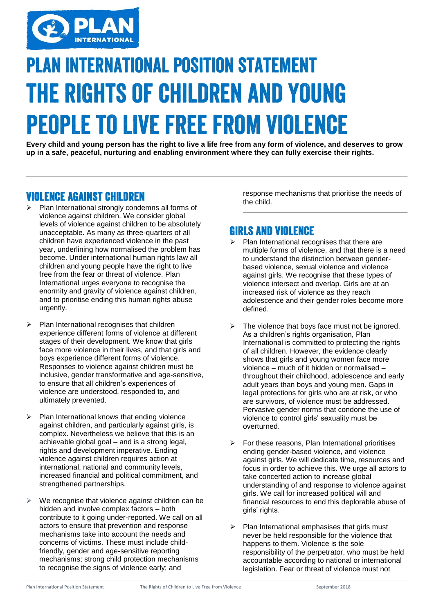

# **PLAN INTERNATIONAL POSITION STATEMENT THE RIGHTS OF CHILDREN AND YOUNG PEOPLE TO LIVE FREE FROM VIOLENCE**

**Every child and young person has the right to live a life free from any form of violence, and deserves to grow up in a safe, peaceful, nurturing and enabling environment where they can fully exercise their rights.**

## **VIOLENCE AGAINST CHILDREN**

- Plan International strongly condemns all forms of violence against children. We consider global levels of violence against children to be absolutely unacceptable. As many as three-quarters of all children have experienced violence in the past year, underlining how normalised the problem has become. Under international human rights law all children and young people have the right to live free from the fear or threat of violence. Plan International urges everyone to recognise the enormity and gravity of violence against children, and to prioritise ending this human rights abuse urgently.
- Plan International recognises that children experience different forms of violence at different stages of their development. We know that girls face more violence in their lives, and that girls and boys experience different forms of violence. Responses to violence against children must be inclusive, gender transformative and age-sensitive, to ensure that all children's experiences of violence are understood, responded to, and ultimately prevented.
- Plan International knows that ending violence against children, and particularly against girls, is complex. Nevertheless we believe that this is an achievable global goal – and is a strong legal, rights and development imperative. Ending violence against children requires action at international, national and community levels, increased financial and political commitment, and strengthened partnerships.
- We recognise that violence against children can be hidden and involve complex factors – both contribute to it going under-reported. We call on all actors to ensure that prevention and response mechanisms take into account the needs and concerns of victims. These must include childfriendly, gender and age-sensitive reporting mechanisms; strong child protection mechanisms to recognise the signs of violence early; and

response mechanisms that prioritise the needs of the child.

# **GIRLS AND VIOLENCE**

- $\triangleright$  Plan International recognises that there are multiple forms of violence, and that there is a need to understand the distinction between genderbased violence, sexual violence and violence against girls. We recognise that these types of violence intersect and overlap. Girls are at an increased risk of violence as they reach adolescence and their gender roles become more defined.
- $\triangleright$  The violence that boys face must not be ignored. As a children's rights organisation, Plan International is committed to protecting the rights of all children. However, the evidence clearly shows that girls and young women face more violence – much of it hidden or normalised – throughout their childhood, adolescence and early adult years than boys and young men. Gaps in legal protections for girls who are at risk, or who are survivors, of violence must be addressed. Pervasive gender norms that condone the use of violence to control girls' sexuality must be overturned.
- For these reasons, Plan International prioritises ending gender-based violence, and violence against girls. We will dedicate time, resources and focus in order to achieve this. We urge all actors to take concerted action to increase global understanding of and response to violence against girls. We call for increased political will and financial resources to end this deplorable abuse of girls' rights.
- Plan International emphasises that girls must never be held responsible for the violence that happens to them. Violence is the sole responsibility of the perpetrator, who must be held accountable according to national or international legislation. Fear or threat of violence must not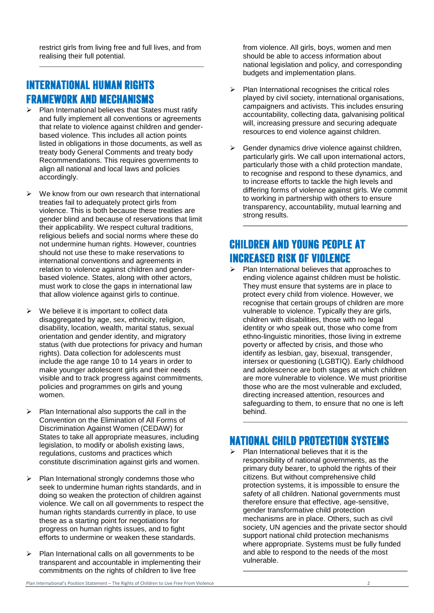restrict girls from living free and full lives, and from realising their full potential.

# **INTERNATIONAL HUMAN RIGHTS FRAMEWORK AND MECHANISMS**

- Plan International believes that States must ratify and fully implement all conventions or agreements that relate to violence against children and genderbased violence. This includes all action points listed in obligations in those documents, as well as treaty body General Comments and treaty body Recommendations. This requires governments to align all national and local laws and policies accordingly.
- $\triangleright$  We know from our own research that international treaties fail to adequately protect girls from violence. This is both because these treaties are gender blind and because of reservations that limit their applicability. We respect cultural traditions, religious beliefs and social norms where these do not undermine human rights. However, countries should not use these to make reservations to international conventions and agreements in relation to violence against children and genderbased violence. States, along with other actors, must work to close the gaps in international law that allow violence against girls to continue.
- $\triangleright$  We believe it is important to collect data disaggregated by age, sex, ethnicity, religion, disability, location, wealth, marital status, sexual orientation and gender identity, and migratory status (with due protections for privacy and human rights). Data collection for adolescents must include the age range 10 to 14 years in order to make younger adolescent girls and their needs visible and to track progress against commitments, policies and programmes on girls and young women.
- Plan International also supports the call in the Convention on the Elimination of All Forms of Discrimination Against Women (CEDAW) for States to take all appropriate measures, including legislation, to modify or abolish existing laws, regulations, customs and practices which constitute discrimination against girls and women.
- $\triangleright$  Plan International strongly condemns those who seek to undermine human rights standards, and in doing so weaken the protection of children against violence. We call on all governments to respect the human rights standards currently in place, to use these as a starting point for negotiations for progress on human rights issues, and to fight efforts to undermine or weaken these standards.
- $\triangleright$  Plan International calls on all governments to be transparent and accountable in implementing their commitments on the rights of children to live free

from violence. All girls, boys, women and men should be able to access information about national legislation and policy, and corresponding budgets and implementation plans.

- $\triangleright$  Plan International recognises the critical roles played by civil society, international organisations, campaigners and activists. This includes ensuring accountability, collecting data, galvanising political will, increasing pressure and securing adequate resources to end violence against children.
- Gender dynamics drive violence against children, particularly girls. We call upon international actors, particularly those with a child protection mandate, to recognise and respond to these dynamics, and to increase efforts to tackle the high levels and differing forms of violence against girls. We commit to working in partnership with others to ensure transparency, accountability, mutual learning and strong results.

# **CHILDREN AND YOUNG PEOPLE AT INCREASED RISK OF VIOLENCE**

 $\triangleright$  Plan International believes that approaches to ending violence against children must be holistic. They must ensure that systems are in place to protect every child from violence. However, we recognise that certain groups of children are more vulnerable to violence. Typically they are girls, children with disabilities, those with no legal identity or who speak out, those who come from ethno-linguistic minorities, those living in extreme poverty or affected by crisis, and those who identify as lesbian, gay, bisexual, transgender, intersex or questioning (LGBTIQ). Early childhood and adolescence are both stages at which children are more vulnerable to violence. We must prioritise those who are the most vulnerable and excluded, directing increased attention, resources and safeguarding to them, to ensure that no one is left behind.

#### **NATIONAL CHILD PROTECTION SYSTEMS**

 $\triangleright$  Plan International believes that it is the responsibility of national governments, as the primary duty bearer, to uphold the rights of their citizens. But without comprehensive child protection systems, it is impossible to ensure the safety of all children. National governments must therefore ensure that effective, age-sensitive, gender transformative child protection mechanisms are in place. Others, such as civil society, UN agencies and the private sector should support national child protection mechanisms where appropriate. Systems must be fully funded and able to respond to the needs of the most vulnerable.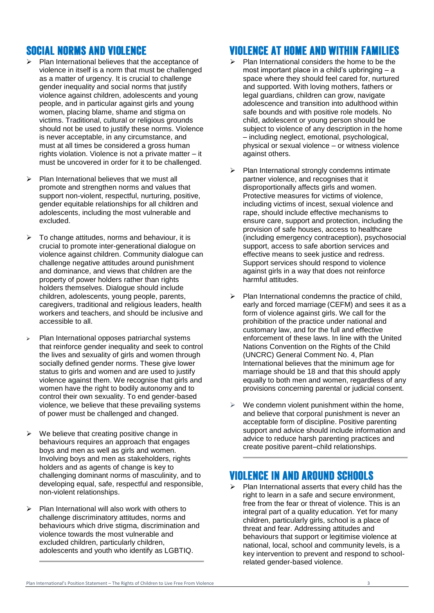## **SOCIAL NORMS AND VIOLENCE**

- Plan International believes that the acceptance of violence in itself is a norm that must be challenged as a matter of urgency. It is crucial to challenge gender inequality and social norms that justify violence against children, adolescents and young people, and in particular against girls and young women, placing blame, shame and stigma on victims. Traditional, cultural or religious grounds should not be used to justify these norms. Violence is never acceptable, in any circumstance, and must at all times be considered a gross human rights violation. Violence is not a private matter – it must be uncovered in order for it to be challenged.
- Plan International believes that we must all promote and strengthen norms and values that support non-violent, respectful, nurturing, positive, gender equitable relationships for all children and adolescents, including the most vulnerable and excluded.
- To change attitudes, norms and behaviour, it is crucial to promote inter-generational dialogue on violence against children. Community dialogue can challenge negative attitudes around punishment and dominance, and views that children are the property of power holders rather than rights holders themselves. Dialogue should include children, adolescents, young people, parents, caregivers, traditional and religious leaders, health workers and teachers, and should be inclusive and accessible to all.
- Plan International opposes patriarchal systems that reinforce gender inequality and seek to control the lives and sexuality of girls and women through socially defined gender norms. These give lower status to girls and women and are used to justify violence against them. We recognise that girls and women have the right to bodily autonomy and to control their own sexuality. To end gender-based violence, we believe that these prevailing systems of power must be challenged and changed.
- $\triangleright$  We believe that creating positive change in behaviours requires an approach that engages boys and men as well as girls and women. Involving boys and men as stakeholders, rights holders and as agents of change is key to challenging dominant norms of masculinity, and to developing equal, safe, respectful and responsible, non-violent relationships.
- Plan International will also work with others to challenge discriminatory attitudes, norms and behaviours which drive stigma, discrimination and violence towards the most vulnerable and excluded children, particularly children, adolescents and youth who identify as LGBTIQ.

## **VIOLENCE AT HOME AND WITHIN FAMILIES**

- $\triangleright$  Plan International considers the home to be the most important place in a child's upbringing – a space where they should feel cared for, nurtured and supported. With loving mothers, fathers or legal guardians, children can grow, navigate adolescence and transition into adulthood within safe bounds and with positive role models. No child, adolescent or young person should be subject to violence of any description in the home – including neglect, emotional, psychological, physical or sexual violence – or witness violence against others.
- Plan International strongly condemns intimate partner violence, and recognises that it disproportionally affects girls and women. Protective measures for victims of violence, including victims of incest, sexual violence and rape, should include effective mechanisms to ensure care, support and protection, including the provision of safe houses, access to healthcare (including emergency contraception), psychosocial support, access to safe abortion services and effective means to seek justice and redress. Support services should respond to violence against girls in a way that does not reinforce harmful attitudes.
- Plan International condemns the practice of child, early and forced marriage (CEFM) and sees it as a form of violence against girls. We call for the prohibition of the practice under national and customary law, and for the full and effective enforcement of these laws. In line with the United Nations Convention on the Rights of the Child (UNCRC) General Comment No. 4, Plan International believes that the minimum age for marriage should be 18 and that this should apply equally to both men and women, regardless of any provisions concerning parental or judicial consent.
- $\triangleright$  We condemn violent punishment within the home, and believe that corporal punishment is never an acceptable form of discipline. Positive parenting support and advice should include information and advice to reduce harsh parenting practices and create positive parent–child relationships.

#### **VIOLENCE IN AND AROUND SCHOOLS**

 $\triangleright$  Plan International asserts that every child has the right to learn in a safe and secure environment, free from the fear or threat of violence. This is an integral part of a quality education. Yet for many children, particularly girls, school is a place of threat and fear. Addressing attitudes and behaviours that support or legitimise violence at national, local, school and community levels, is a key intervention to prevent and respond to schoolrelated gender-based violence.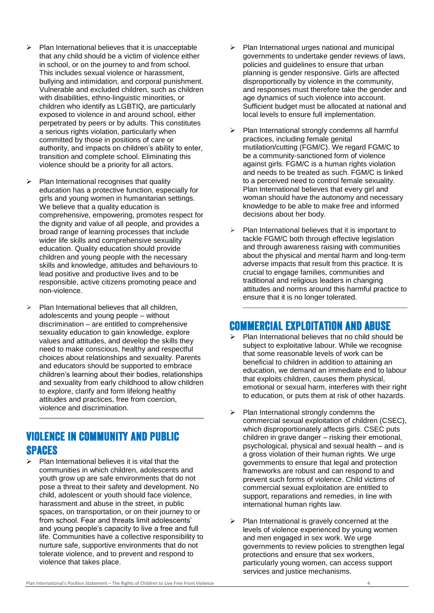- Plan International believes that it is unacceptable that any child should be a victim of violence either in school, or on the journey to and from school. This includes sexual violence or harassment, bullying and intimidation, and corporal punishment. Vulnerable and excluded children, such as children with disabilities, ethno-linguistic minorities, or children who identify as LGBTIQ, are particularly exposed to violence in and around school, either perpetrated by peers or by adults. This constitutes a serious rights violation, particularly when committed by those in positions of care or authority, and impacts on children's ability to enter, transition and complete school. Eliminating this violence should be a priority for all actors.
- Plan International recognises that quality education has a protective function, especially for girls and young women in humanitarian settings. We believe that a quality education is comprehensive, empowering, promotes respect for the dignity and value of all people, and provides a broad range of learning processes that include wider life skills and comprehensive sexuality education. Quality education should provide children and young people with the necessary skills and knowledge, attitudes and behaviours to lead positive and productive lives and to be responsible, active citizens promoting peace and non-violence.
- Plan International believes that all children, adolescents and young people – without discrimination – are entitled to comprehensive sexuality education to gain knowledge, explore values and attitudes, and develop the skills they need to make conscious, healthy and respectful choices about relationships and sexuality. Parents and educators should be supported to embrace children's learning about their bodies, relationships and sexuality from early childhood to allow children to explore, clarify and form lifelong healthy attitudes and practices, free from coercion, violence and discrimination.

#### **VIOLENCE IN COMMUNITY AND PUBLIC SPACES**

 Plan International believes it is vital that the communities in which children, adolescents and youth grow up are safe environments that do not pose a threat to their safety and development. No child, adolescent or youth should face violence, harassment and abuse in the street, in public spaces, on transportation, or on their journey to or from school. Fear and threats limit adolescents' and young people's capacity to live a free and full life. Communities have a collective responsibility to nurture safe, supportive environments that do not tolerate violence, and to prevent and respond to violence that takes place.

- Plan International urges national and municipal governments to undertake gender reviews of laws, policies and guidelines to ensure that urban planning is gender responsive. Girls are affected disproportionally by violence in the community, and responses must therefore take the gender and age dynamics of such violence into account. Sufficient budget must be allocated at national and local levels to ensure full implementation.
- Plan International strongly condemns all harmful practices, including female genital mutilation/cutting (FGM/C). We regard FGM/C to be a community-sanctioned form of violence against girls. FGM/C is a human rights violation and needs to be treated as such. FGM/C is linked to a perceived need to control female sexuality. Plan International believes that every girl and woman should have the autonomy and necessary knowledge to be able to make free and informed decisions about her body.
- Plan International believes that it is important to tackle FGM/C both through effective legislation and through awareness raising with communities about the physical and mental harm and long-term adverse impacts that result from this practice. It is crucial to engage families, communities and traditional and religious leaders in changing attitudes and norms around this harmful practice to ensure that it is no longer tolerated.

## **COMMERCIAL EXPLOITATION AND ABUSE**

- $\triangleright$  Plan International believes that no child should be subject to exploitative labour. While we recognise that some reasonable levels of work can be beneficial to children in addition to attaining an education, we demand an immediate end to labour that exploits children, causes them physical, emotional or sexual harm, interferes with their right to education, or puts them at risk of other hazards.
- $\triangleright$  Plan International strongly condemns the commercial sexual exploitation of children (CSEC), which disproportionately affects girls. CSEC puts children in grave danger – risking their emotional, psychological, physical and sexual health – and is a gross violation of their human rights. We urge governments to ensure that legal and protection frameworks are robust and can respond to and prevent such forms of violence. Child victims of commercial sexual exploitation are entitled to support, reparations and remedies, in line with international human rights law.
- Plan International is gravely concerned at the levels of violence experienced by young women and men engaged in sex work. We urge governments to review policies to strengthen legal protections and ensure that sex workers, particularly young women, can access support services and justice mechanisms.

Plan International's Position Statement – The Rights of Children to Live Free From Violence 4